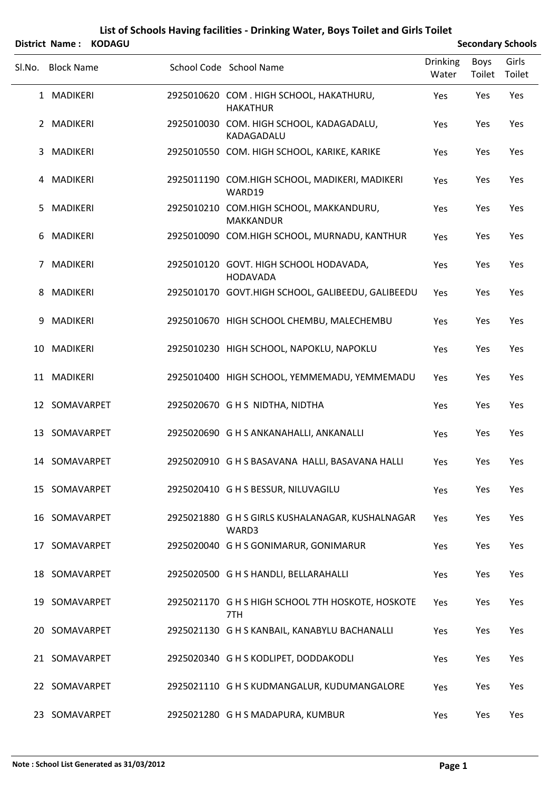|    |                   | District Name: KODAGU |                                                            |                          |                       | <b>Secondary Schools</b> |
|----|-------------------|-----------------------|------------------------------------------------------------|--------------------------|-----------------------|--------------------------|
|    | Sl.No. Block Name |                       | School Code School Name                                    | <b>Drinking</b><br>Water | <b>Boys</b><br>Toilet | Girls<br>Toilet          |
|    | 1 MADIKERI        |                       | 2925010620 COM. HIGH SCHOOL, HAKATHURU,<br><b>HAKATHUR</b> | Yes                      | Yes                   | Yes                      |
|    | 2 MADIKERI        |                       | 2925010030 COM. HIGH SCHOOL, KADAGADALU,<br>KADAGADALU     | Yes                      | Yes                   | Yes                      |
| 3  | MADIKERI          |                       | 2925010550 COM. HIGH SCHOOL, KARIKE, KARIKE                | Yes                      | Yes                   | Yes                      |
|    | 4 MADIKERI        |                       | 2925011190 COM.HIGH SCHOOL, MADIKERI, MADIKERI<br>WARD19   | Yes                      | Yes                   | Yes                      |
| 5. | MADIKERI          |                       | 2925010210 COM.HIGH SCHOOL, MAKKANDURU,<br>MAKKANDUR       | Yes                      | Yes                   | Yes                      |
| 6  | MADIKERI          |                       | 2925010090 COM.HIGH SCHOOL, MURNADU, KANTHUR               | Yes                      | Yes                   | Yes                      |
| 7  | MADIKERI          |                       | 2925010120 GOVT. HIGH SCHOOL HODAVADA,<br><b>HODAVADA</b>  | Yes                      | Yes                   | Yes                      |
| 8  | MADIKERI          |                       | 2925010170 GOVT.HIGH SCHOOL, GALIBEEDU, GALIBEEDU          | Yes                      | Yes                   | Yes                      |
| 9  | MADIKERI          |                       | 2925010670 HIGH SCHOOL CHEMBU, MALECHEMBU                  | Yes                      | Yes                   | Yes                      |
|    | 10 MADIKERI       |                       | 2925010230 HIGH SCHOOL, NAPOKLU, NAPOKLU                   | Yes                      | Yes                   | Yes                      |
|    | 11 MADIKERI       |                       | 2925010400 HIGH SCHOOL, YEMMEMADU, YEMMEMADU               | Yes                      | Yes                   | Yes                      |
|    | 12 SOMAVARPET     |                       | 2925020670 GHS NIDTHA, NIDTHA                              | Yes                      | Yes                   | Yes                      |
|    | 13 SOMAVARPET     |                       | 2925020690 G H S ANKANAHALLI, ANKANALLI                    | Yes                      | Yes                   | Yes                      |
|    | 14 SOMAVARPET     |                       | 2925020910 G H S BASAVANA HALLI, BASAVANA HALLI            | Yes                      | Yes                   | Yes                      |
|    | 15 SOMAVARPET     |                       | 2925020410 G H S BESSUR, NILUVAGILU                        | Yes                      | Yes                   | Yes                      |
|    | 16 SOMAVARPET     |                       | 2925021880 G H S GIRLS KUSHALANAGAR, KUSHALNAGAR<br>WARD3  | Yes                      | Yes                   | Yes                      |
|    | 17 SOMAVARPET     |                       | 2925020040 G H S GONIMARUR, GONIMARUR                      | Yes                      | Yes                   | Yes                      |
|    | 18 SOMAVARPET     |                       | 2925020500 G H S HANDLI, BELLARAHALLI                      | Yes                      | Yes                   | Yes                      |
|    | 19 SOMAVARPET     |                       | 2925021170 G H S HIGH SCHOOL 7TH HOSKOTE, HOSKOTE<br>7TH   | Yes                      | Yes                   | Yes                      |
|    | 20 SOMAVARPET     |                       | 2925021130 G H S KANBAIL, KANABYLU BACHANALLI              | Yes                      | Yes                   | Yes                      |
|    | 21 SOMAVARPET     |                       | 2925020340 G H S KODLIPET, DODDAKODLI                      | Yes                      | Yes                   | Yes                      |
|    | 22 SOMAVARPET     |                       | 2925021110 G H S KUDMANGALUR, KUDUMANGALORE                | Yes                      | Yes                   | Yes                      |
|    | 23 SOMAVARPET     |                       | 2925021280 G H S MADAPURA, KUMBUR                          | Yes                      | Yes                   | Yes                      |

## **List of Schools Having facilities ‐ Drinking Water, Boys Toilet and Girls Toilet**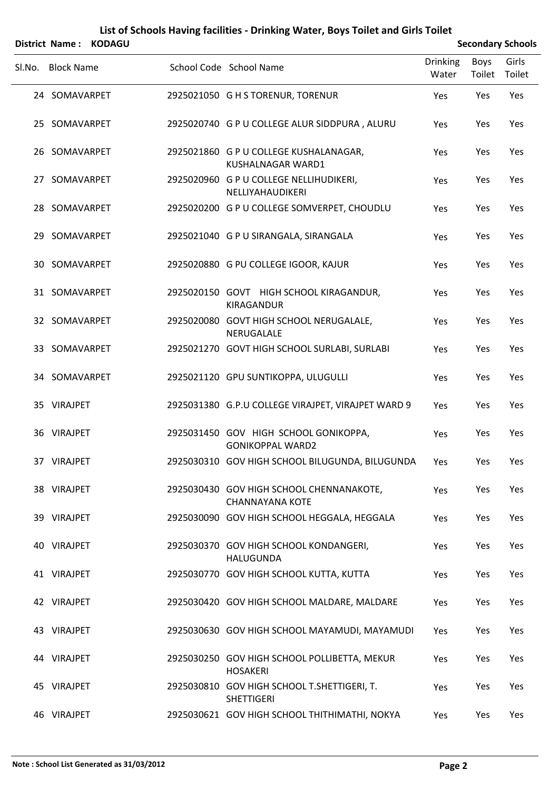|        |                   | District Name: KODAGU |                                                                    |                          |                | <b>Secondary Schools</b> |
|--------|-------------------|-----------------------|--------------------------------------------------------------------|--------------------------|----------------|--------------------------|
| Sl.No. | <b>Block Name</b> |                       | School Code School Name                                            | <b>Drinking</b><br>Water | Boys<br>Toilet | Girls<br>Toilet          |
|        | 24 SOMAVARPET     |                       | 2925021050 G H S TORENUR, TORENUR                                  | Yes                      | Yes            | Yes                      |
|        | 25 SOMAVARPET     |                       | 2925020740 G P U COLLEGE ALUR SIDDPURA, ALURU                      | Yes                      | Yes            | Yes                      |
|        | 26 SOMAVARPET     |                       | 2925021860 G P U COLLEGE KUSHALANAGAR,<br>KUSHALNAGAR WARD1        | Yes                      | Yes            | Yes                      |
|        | 27 SOMAVARPET     |                       | 2925020960 G P U COLLEGE NELLIHUDIKERI,<br>NELLIYAHAUDIKERI        | Yes                      | Yes            | Yes                      |
|        | 28 SOMAVARPET     |                       | 2925020200 G P U COLLEGE SOMVERPET, CHOUDLU                        | Yes                      | Yes            | Yes                      |
|        | 29 SOMAVARPET     |                       | 2925021040 G P U SIRANGALA, SIRANGALA                              | Yes                      | Yes            | Yes                      |
|        | 30 SOMAVARPET     |                       | 2925020880 G PU COLLEGE IGOOR, KAJUR                               | Yes                      | Yes            | Yes                      |
|        | 31 SOMAVARPET     |                       | 2925020150 GOVT HIGH SCHOOL KIRAGANDUR,<br>KIRAGANDUR              | Yes                      | Yes            | Yes                      |
|        | 32 SOMAVARPET     |                       | 2925020080 GOVT HIGH SCHOOL NERUGALALE,<br>NERUGALALE              | Yes                      | Yes            | Yes                      |
|        | 33 SOMAVARPET     |                       | 2925021270 GOVT HIGH SCHOOL SURLABI, SURLABI                       | Yes                      | Yes            | Yes                      |
|        | 34 SOMAVARPET     |                       | 2925021120 GPU SUNTIKOPPA, ULUGULLI                                | Yes                      | Yes            | Yes                      |
|        | 35 VIRAJPET       |                       | 2925031380 G.P.U COLLEGE VIRAJPET, VIRAJPET WARD 9                 | Yes                      | Yes            | Yes                      |
|        | 36 VIRAJPET       |                       | 2925031450 GOV HIGH SCHOOL GONIKOPPA,<br><b>GONIKOPPAL WARD2</b>   | Yes                      | Yes            | Yes                      |
|        | 37 VIRAJPET       |                       | 2925030310 GOV HIGH SCHOOL BILUGUNDA, BILUGUNDA Yes                |                          | Yes            | Yes                      |
|        | 38 VIRAJPET       |                       | 2925030430 GOV HIGH SCHOOL CHENNANAKOTE,<br><b>CHANNAYANA KOTE</b> | Yes                      | Yes            | Yes                      |
|        | 39 VIRAJPET       |                       | 2925030090 GOV HIGH SCHOOL HEGGALA, HEGGALA                        | Yes                      | Yes            | Yes                      |
|        | 40 VIRAJPET       |                       | 2925030370 GOV HIGH SCHOOL KONDANGERI,<br><b>HALUGUNDA</b>         | Yes                      | Yes            | Yes                      |
|        | 41 VIRAJPET       |                       | 2925030770 GOV HIGH SCHOOL KUTTA, KUTTA                            | Yes                      | Yes            | Yes                      |
|        | 42 VIRAJPET       |                       | 2925030420 GOV HIGH SCHOOL MALDARE, MALDARE                        | Yes                      | Yes            | Yes                      |
|        | 43 VIRAJPET       |                       | 2925030630 GOV HIGH SCHOOL MAYAMUDI, MAYAMUDI                      | Yes                      | Yes            | Yes                      |
|        | 44 VIRAJPET       |                       | 2925030250 GOV HIGH SCHOOL POLLIBETTA, MEKUR<br><b>HOSAKERI</b>    | Yes                      | Yes            | Yes                      |
|        | 45 VIRAJPET       |                       | 2925030810 GOV HIGH SCHOOL T.SHETTIGERI, T.<br><b>SHETTIGERI</b>   | Yes                      | Yes            | Yes                      |
|        | 46 VIRAJPET       |                       | 2925030621 GOV HIGH SCHOOL THITHIMATHI, NOKYA                      | Yes                      | Yes            | Yes                      |

## **List of Schools Having facilities ‐ Drinking Water, Boys Toilet and Girls Toilet**